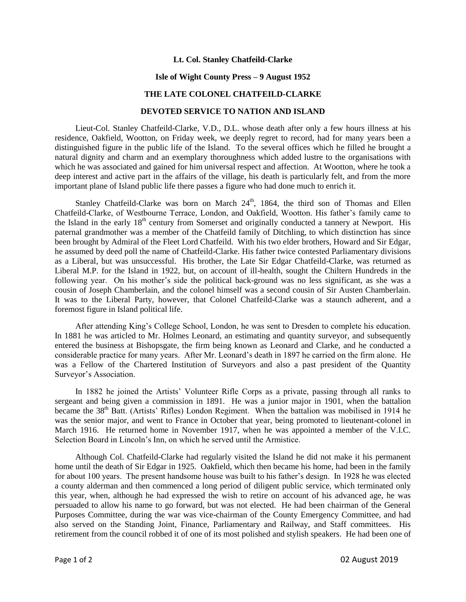## **Lt. Col. Stanley Chatfeild-Clarke**

## **Isle of Wight County Press – 9 August 1952**

## **THE LATE COLONEL CHATFEILD-CLARKE**

## **DEVOTED SERVICE TO NATION AND ISLAND**

Lieut-Col. Stanley Chatfeild-Clarke, V.D., D.L. whose death after only a few hours illness at his residence, Oakfield, Wootton, on Friday week, we deeply regret to record, had for many years been a distinguished figure in the public life of the Island. To the several offices which he filled he brought a natural dignity and charm and an exemplary thoroughness which added lustre to the organisations with which he was associated and gained for him universal respect and affection. At Wootton, where he took a deep interest and active part in the affairs of the village, his death is particularly felt, and from the more important plane of Island public life there passes a figure who had done much to enrich it.

Stanley Chatfeild-Clarke was born on March 24<sup>th</sup>, 1864, the third son of Thomas and Ellen Chatfeild-Clarke, of Westbourne Terrace, London, and Oakfield, Wootton. His father's family came to the Island in the early  $18<sup>th</sup>$  century from Somerset and originally conducted a tannery at Newport. His paternal grandmother was a member of the Chatfeild family of Ditchling, to which distinction has since been brought by Admiral of the Fleet Lord Chatfeild. With his two elder brothers, Howard and Sir Edgar, he assumed by deed poll the name of Chatfeild-Clarke. His father twice contested Parliamentary divisions as a Liberal, but was unsuccessful. His brother, the Late Sir Edgar Chatfeild-Clarke, was returned as Liberal M.P. for the Island in 1922, but, on account of ill-health, sought the Chiltern Hundreds in the following year. On his mother's side the political back-ground was no less significant, as she was a cousin of Joseph Chamberlain, and the colonel himself was a second cousin of Sir Austen Chamberlain. It was to the Liberal Party, however, that Colonel Chatfeild-Clarke was a staunch adherent, and a foremost figure in Island political life.

After attending King's College School, London, he was sent to Dresden to complete his education. In 1881 he was articled to Mr. Holmes Leonard, an estimating and quantity surveyor, and subsequently entered the business at Bishopsgate, the firm being known as Leonard and Clarke, and he conducted a considerable practice for many years. After Mr. Leonard's death in 1897 he carried on the firm alone. He was a Fellow of the Chartered Institution of Surveyors and also a past president of the Quantity Surveyor's Association.

In 1882 he joined the Artists' Volunteer Rifle Corps as a private, passing through all ranks to sergeant and being given a commission in 1891. He was a junior major in 1901, when the battalion became the 38<sup>th</sup> Batt. (Artists' Rifles) London Regiment. When the battalion was mobilised in 1914 he was the senior major, and went to France in October that year, being promoted to lieutenant-colonel in March 1916. He returned home in November 1917, when he was appointed a member of the V.I.C. Selection Board in Lincoln's Inn, on which he served until the Armistice.

Although Col. Chatfeild-Clarke had regularly visited the Island he did not make it his permanent home until the death of Sir Edgar in 1925. Oakfield, which then became his home, had been in the family for about 100 years. The present handsome house was built to his father's design. In 1928 he was elected a county alderman and then commenced a long period of diligent public service, which terminated only this year, when, although he had expressed the wish to retire on account of his advanced age, he was persuaded to allow his name to go forward, but was not elected. He had been chairman of the General Purposes Committee, during the war was vice-chairman of the County Emergency Committee, and had also served on the Standing Joint, Finance, Parliamentary and Railway, and Staff committees. His retirement from the council robbed it of one of its most polished and stylish speakers. He had been one of